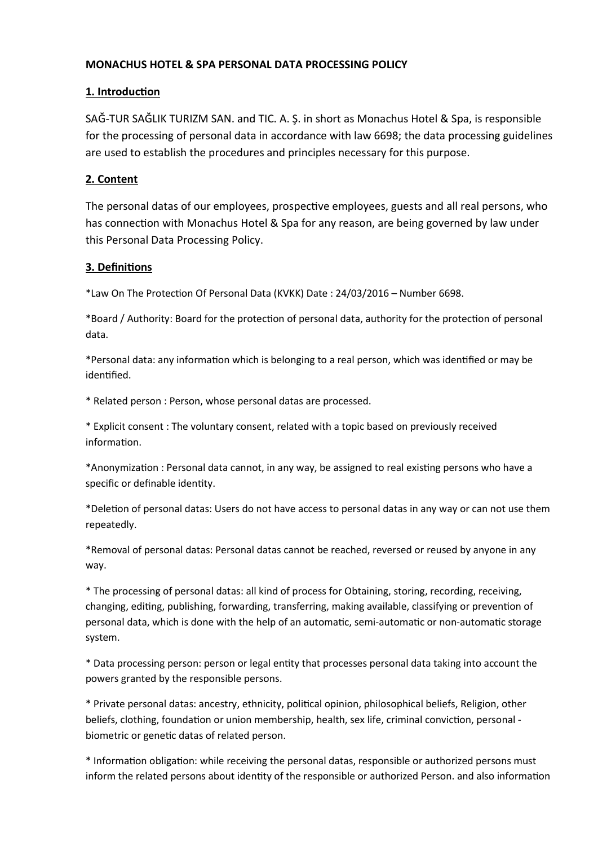### MONACHUS HOTEL & SPA PERSONAL DATA PROCESSING POLICY

### 1. Introduction

SAĞ-TUR SAĞLIK TURIZM SAN. and TIC. A. Ş. in short as Monachus Hotel & Spa, is responsible for the processing of personal data in accordance with law 6698; the data processing guidelines are used to establish the procedures and principles necessary for this purpose.

### 2. Content

The personal datas of our employees, prospective employees, guests and all real persons, who has connection with Monachus Hotel & Spa for any reason, are being governed by law under this Personal Data Processing Policy.

#### 3. DefiniƟons

\*Law On The ProtecƟon Of Personal Data (KVKK) Date : 24/03/2016 – Number 6698.

\*Board / Authority: Board for the protection of personal data, authority for the protection of personal data.

\*Personal data: any informaƟon which is belonging to a real person, which was idenƟfied or may be identified.

\* Related person : Person, whose personal datas are processed.

\* Explicit consent : The voluntary consent, related with a topic based on previously received information.

\*Anonymization : Personal data cannot, in any way, be assigned to real existing persons who have a specific or definable identity.

\*Deletion of personal datas: Users do not have access to personal datas in any way or can not use them repeatedly.

\*Removal of personal datas: Personal datas cannot be reached, reversed or reused by anyone in any way.

\* The processing of personal datas: all kind of process for Obtaining, storing, recording, receiving, changing, editing, publishing, forwarding, transferring, making available, classifying or prevention of personal data, which is done with the help of an automatic, semi-automatic or non-automatic storage system.

\* Data processing person: person or legal enƟty that processes personal data taking into account the powers granted by the responsible persons.

\* Private personal datas: ancestry, ethnicity, poliƟcal opinion, philosophical beliefs, Religion, other beliefs, clothing, foundation or union membership, health, sex life, criminal conviction, personal biometric or genetic datas of related person.

\* InformaƟon obligaƟon: while receiving the personal datas, responsible or authorized persons must inform the related persons about identity of the responsible or authorized Person. and also information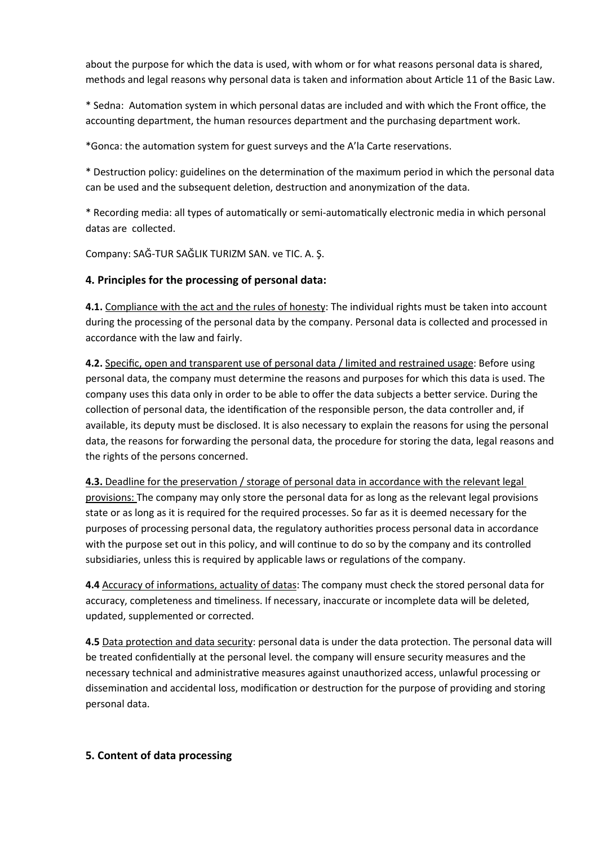about the purpose for which the data is used, with whom or for what reasons personal data is shared, methods and legal reasons why personal data is taken and information about Article 11 of the Basic Law.

\* Sedna: AutomaƟon system in which personal datas are included and with which the Front office, the accounting department, the human resources department and the purchasing department work.

\*Gonca: the automaƟon system for guest surveys and the A'la Carte reservaƟons.

\* DestrucƟon policy: guidelines on the determinaƟon of the maximum period in which the personal data can be used and the subsequent deletion, destruction and anonymization of the data.

\* Recording media: all types of automatically or semi-automatically electronic media in which personal datas are collected.

Company: SAĞ-TUR SAĞLIK TURIZM SAN. ve TIC. A. Ş.

#### 4. Principles for the processing of personal data:

4.1. Compliance with the act and the rules of honesty: The individual rights must be taken into account during the processing of the personal data by the company. Personal data is collected and processed in accordance with the law and fairly.

4.2. Specific, open and transparent use of personal data / limited and restrained usage: Before using personal data, the company must determine the reasons and purposes for which this data is used. The company uses this data only in order to be able to offer the data subjects a better service. During the collection of personal data, the identification of the responsible person, the data controller and, if available, its deputy must be disclosed. It is also necessary to explain the reasons for using the personal data, the reasons for forwarding the personal data, the procedure for storing the data, legal reasons and the rights of the persons concerned.

4.3. Deadline for the preservation / storage of personal data in accordance with the relevant legal provisions: The company may only store the personal data for as long as the relevant legal provisions state or as long as it is required for the required processes. So far as it is deemed necessary for the purposes of processing personal data, the regulatory authorities process personal data in accordance with the purpose set out in this policy, and will continue to do so by the company and its controlled subsidiaries, unless this is required by applicable laws or regulations of the company.

4.4 Accuracy of informations, actuality of datas: The company must check the stored personal data for accuracy, completeness and timeliness. If necessary, inaccurate or incomplete data will be deleted, updated, supplemented or corrected.

4.5 Data protection and data security: personal data is under the data protection. The personal data will be treated confidentially at the personal level. the company will ensure security measures and the necessary technical and administrative measures against unauthorized access, unlawful processing or dissemination and accidental loss, modification or destruction for the purpose of providing and storing personal data.

#### 5. Content of data processing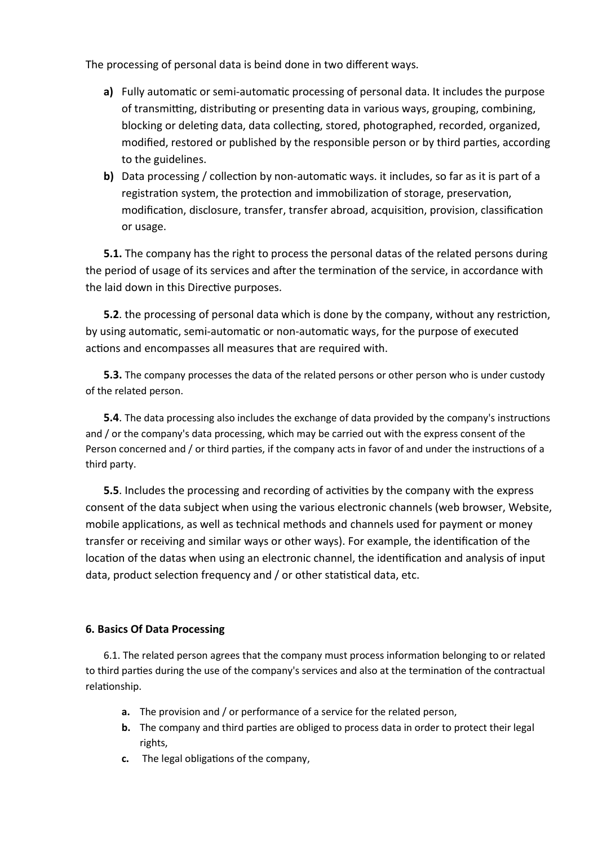The processing of personal data is beind done in two different ways.

- a) Fully automatic or semi-automatic processing of personal data. It includes the purpose of transmitting, distributing or presenting data in various ways, grouping, combining, blocking or deleting data, data collecting, stored, photographed, recorded, organized, modified, restored or published by the responsible person or by third parties, according to the guidelines.
- b) Data processing / collection by non-automatic ways. it includes, so far as it is part of a registration system, the protection and immobilization of storage, preservation, modification, disclosure, transfer, transfer abroad, acquisition, provision, classification or usage.

5.1. The company has the right to process the personal datas of the related persons during the period of usage of its services and after the termination of the service, in accordance with the laid down in this Directive purposes.

5.2. the processing of personal data which is done by the company, without any restriction, by using automatic, semi-automatic or non-automatic ways, for the purpose of executed actions and encompasses all measures that are required with.

**5.3.** The company processes the data of the related persons or other person who is under custody of the related person.

5.4. The data processing also includes the exchange of data provided by the company's instructions and / or the company's data processing, which may be carried out with the express consent of the Person concerned and / or third parties, if the company acts in favor of and under the instructions of a third party.

5.5. Includes the processing and recording of activities by the company with the express consent of the data subject when using the various electronic channels (web browser, Website, mobile applications, as well as technical methods and channels used for payment or money transfer or receiving and similar ways or other ways). For example, the identification of the location of the datas when using an electronic channel, the identification and analysis of input data, product selection frequency and / or other statistical data, etc.

#### 6. Basics Of Data Processing

6.1. The related person agrees that the company must process information belonging to or related to third parties during the use of the company's services and also at the termination of the contractual relationship.

- a. The provision and / or performance of a service for the related person,
- b. The company and third parties are obliged to process data in order to protect their legal rights,
- c. The legal obligations of the company,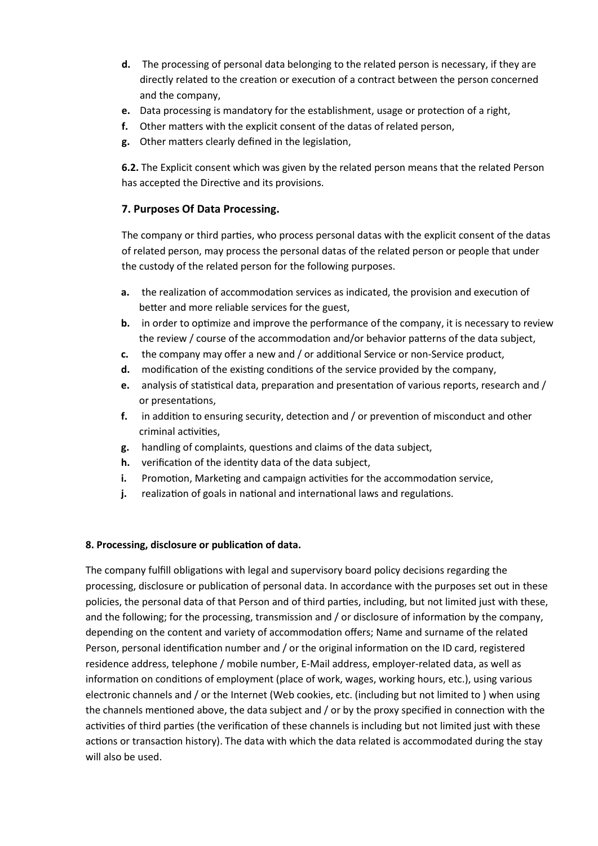- d. The processing of personal data belonging to the related person is necessary, if they are directly related to the creation or execution of a contract between the person concerned and the company,
- e. Data processing is mandatory for the establishment, usage or protection of a right,
- f. Other matters with the explicit consent of the datas of related person,
- g. Other matters clearly defined in the legislation,

6.2. The Explicit consent which was given by the related person means that the related Person has accepted the Directive and its provisions.

#### 7. Purposes Of Data Processing.

The company or third parties, who process personal datas with the explicit consent of the datas of related person, may process the personal datas of the related person or people that under the custody of the related person for the following purposes.

- a. the realization of accommodation services as indicated, the provision and execution of better and more reliable services for the guest,
- b. in order to optimize and improve the performance of the company, it is necessary to review the review / course of the accommodation and/or behavior patterns of the data subject,
- c. the company may offer a new and / or additional Service or non-Service product,
- d. modification of the existing conditions of the service provided by the company,
- e. analysis of statistical data, preparation and presentation of various reports, research and / or presentations,
- f. in addition to ensuring security, detection and / or prevention of misconduct and other criminal activities,
- g. handling of complaints, questions and claims of the data subject,
- h. verification of the identity data of the data subject,
- i. Promotion, Marketing and campaign activities for the accommodation service,
- j. realization of goals in national and international laws and regulations.

#### 8. Processing, disclosure or publication of data.

The company fulfill obligations with legal and supervisory board policy decisions regarding the processing, disclosure or publication of personal data. In accordance with the purposes set out in these policies, the personal data of that Person and of third parties, including, but not limited just with these, and the following; for the processing, transmission and / or disclosure of information by the company, depending on the content and variety of accommodation offers; Name and surname of the related Person, personal identification number and / or the original information on the ID card, registered residence address, telephone / mobile number, E-Mail address, employer-related data, as well as information on conditions of employment (place of work, wages, working hours, etc.), using various electronic channels and / or the Internet (Web cookies, etc. (including but not limited to ) when using the channels mentioned above, the data subject and  $/$  or by the proxy specified in connection with the activities of third parties (the verification of these channels is including but not limited just with these actions or transaction history). The data with which the data related is accommodated during the stay will also be used.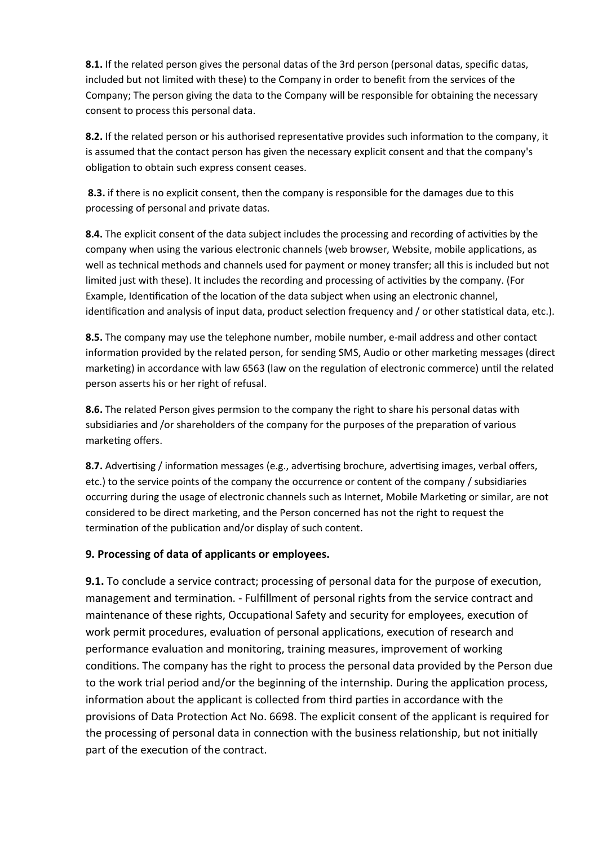8.1. If the related person gives the personal datas of the 3rd person (personal datas, specific datas, included but not limited with these) to the Company in order to benefit from the services of the Company; The person giving the data to the Company will be responsible for obtaining the necessary consent to process this personal data.

8.2. If the related person or his authorised representative provides such information to the company, it is assumed that the contact person has given the necessary explicit consent and that the company's obligation to obtain such express consent ceases.

8.3. if there is no explicit consent, then the company is responsible for the damages due to this processing of personal and private datas.

8.4. The explicit consent of the data subject includes the processing and recording of activities by the company when using the various electronic channels (web browser, Website, mobile applications, as well as technical methods and channels used for payment or money transfer; all this is included but not limited just with these). It includes the recording and processing of activities by the company. (For Example, Identification of the location of the data subject when using an electronic channel, identification and analysis of input data, product selection frequency and / or other statistical data, etc.).

8.5. The company may use the telephone number, mobile number, e-mail address and other contact information provided by the related person, for sending SMS, Audio or other marketing messages (direct marketing) in accordance with law 6563 (law on the regulation of electronic commerce) until the related person asserts his or her right of refusal.

8.6. The related Person gives permsion to the company the right to share his personal datas with subsidiaries and /or shareholders of the company for the purposes of the preparation of various marketing offers.

8.7. Advertising / information messages (e.g., advertising brochure, advertising images, verbal offers, etc.) to the service points of the company the occurrence or content of the company / subsidiaries occurring during the usage of electronic channels such as Internet, Mobile Marketing or similar, are not considered to be direct marketing, and the Person concerned has not the right to request the termination of the publication and/or display of such content.

#### 9. Processing of data of applicants or employees.

9.1. To conclude a service contract; processing of personal data for the purpose of execution, management and termination. - Fulfillment of personal rights from the service contract and maintenance of these rights, Occupational Safety and security for employees, execution of work permit procedures, evaluation of personal applications, execution of research and performance evaluation and monitoring, training measures, improvement of working conditions. The company has the right to process the personal data provided by the Person due to the work trial period and/or the beginning of the internship. During the application process, information about the applicant is collected from third parties in accordance with the provisions of Data Protection Act No. 6698. The explicit consent of the applicant is required for the processing of personal data in connection with the business relationship, but not initially part of the execution of the contract.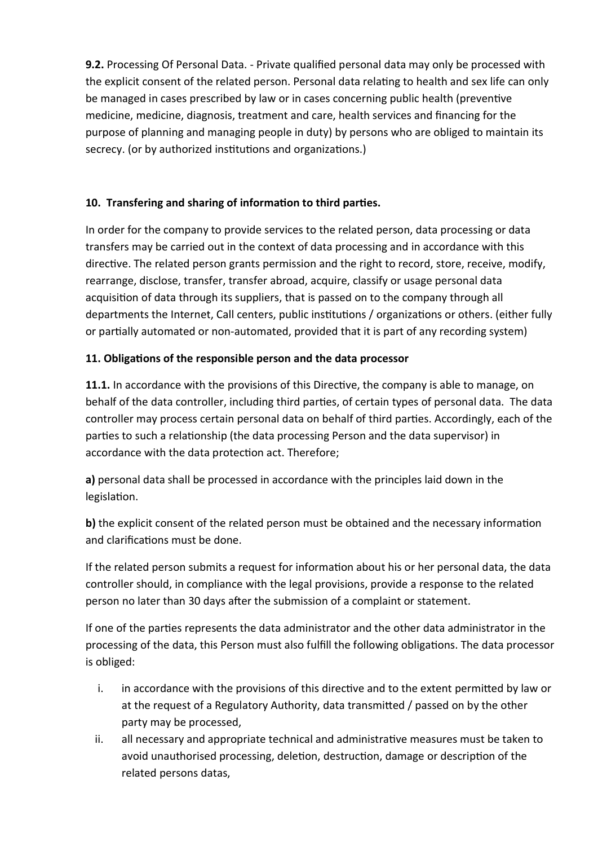9.2. Processing Of Personal Data. - Private qualified personal data may only be processed with the explicit consent of the related person. Personal data relating to health and sex life can only be managed in cases prescribed by law or in cases concerning public health (preventive medicine, medicine, diagnosis, treatment and care, health services and financing for the purpose of planning and managing people in duty) by persons who are obliged to maintain its secrecy. (or by authorized institutions and organizations.)

# 10. Transfering and sharing of information to third parties.

In order for the company to provide services to the related person, data processing or data transfers may be carried out in the context of data processing and in accordance with this directive. The related person grants permission and the right to record, store, receive, modify, rearrange, disclose, transfer, transfer abroad, acquire, classify or usage personal data acquisition of data through its suppliers, that is passed on to the company through all departments the Internet, Call centers, public institutions / organizations or others. (either fully or partially automated or non-automated, provided that it is part of any recording system)

## 11. Obligations of the responsible person and the data processor

11.1. In accordance with the provisions of this Directive, the company is able to manage, on behalf of the data controller, including third parties, of certain types of personal data. The data controller may process certain personal data on behalf of third parties. Accordingly, each of the parties to such a relationship (the data processing Person and the data supervisor) in accordance with the data protection act. Therefore;

a) personal data shall be processed in accordance with the principles laid down in the legislation.

b) the explicit consent of the related person must be obtained and the necessary information and clarifications must be done.

If the related person submits a request for information about his or her personal data, the data controller should, in compliance with the legal provisions, provide a response to the related person no later than 30 days after the submission of a complaint or statement.

If one of the parties represents the data administrator and the other data administrator in the processing of the data, this Person must also fulfill the following obligations. The data processor is obliged:

- i. in accordance with the provisions of this directive and to the extent permitted by law or at the request of a Regulatory Authority, data transmitted / passed on by the other party may be processed,
- ii. all necessary and appropriate technical and administrative measures must be taken to avoid unauthorised processing, deletion, destruction, damage or description of the related persons datas,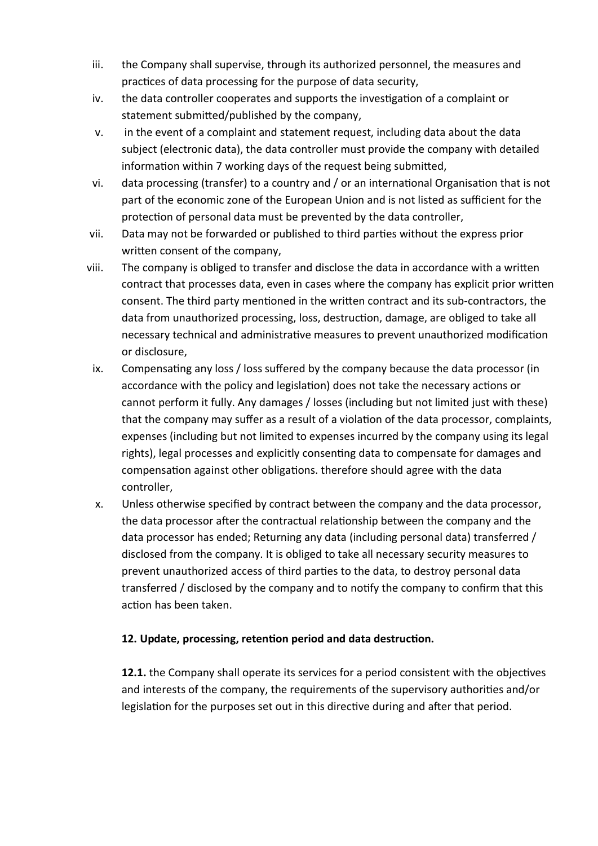- iii. the Company shall supervise, through its authorized personnel, the measures and practices of data processing for the purpose of data security,
- iv. the data controller cooperates and supports the investigation of a complaint or statement submitted/published by the company,
- v. in the event of a complaint and statement request, including data about the data subject (electronic data), the data controller must provide the company with detailed information within 7 working days of the request being submitted,
- vi. data processing (transfer) to a country and / or an international Organisation that is not part of the economic zone of the European Union and is not listed as sufficient for the protection of personal data must be prevented by the data controller,
- vii. Data may not be forwarded or published to third parties without the express prior written consent of the company,
- viii. The company is obliged to transfer and disclose the data in accordance with a written contract that processes data, even in cases where the company has explicit prior written consent. The third party mentioned in the written contract and its sub-contractors, the data from unauthorized processing, loss, destruction, damage, are obliged to take all necessary technical and administrative measures to prevent unauthorized modification or disclosure,
	- ix. Compensating any loss / loss suffered by the company because the data processor (in accordance with the policy and legislation) does not take the necessary actions or cannot perform it fully. Any damages / losses (including but not limited just with these) that the company may suffer as a result of a violation of the data processor, complaints, expenses (including but not limited to expenses incurred by the company using its legal rights), legal processes and explicitly consenting data to compensate for damages and compensation against other obligations. therefore should agree with the data controller,
	- x. Unless otherwise specified by contract between the company and the data processor, the data processor after the contractual relationship between the company and the data processor has ended; Returning any data (including personal data) transferred / disclosed from the company. It is obliged to take all necessary security measures to prevent unauthorized access of third parties to the data, to destroy personal data transferred / disclosed by the company and to notify the company to confirm that this action has been taken.

## 12. Update, processing, retention period and data destruction.

12.1. the Company shall operate its services for a period consistent with the objectives and interests of the company, the requirements of the supervisory authorities and/or legislation for the purposes set out in this directive during and after that period.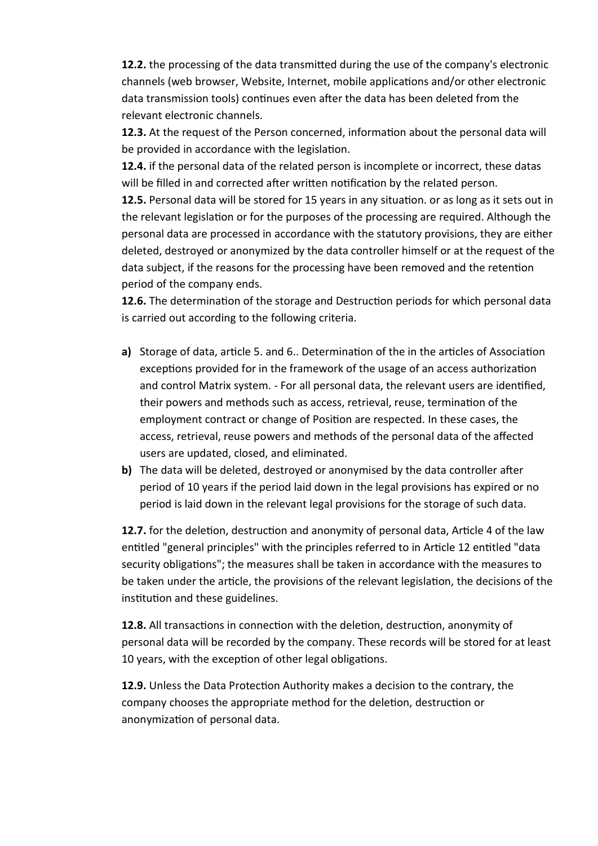12.2. the processing of the data transmitted during the use of the company's electronic channels (web browser, Website, Internet, mobile applications and/or other electronic data transmission tools) continues even after the data has been deleted from the relevant electronic channels.

12.3. At the request of the Person concerned, information about the personal data will be provided in accordance with the legislation.

12.4. if the personal data of the related person is incomplete or incorrect, these datas will be filled in and corrected after written notification by the related person.

12.5. Personal data will be stored for 15 years in any situation. or as long as it sets out in the relevant legislation or for the purposes of the processing are required. Although the personal data are processed in accordance with the statutory provisions, they are either deleted, destroyed or anonymized by the data controller himself or at the request of the data subject, if the reasons for the processing have been removed and the retention period of the company ends.

12.6. The determination of the storage and Destruction periods for which personal data is carried out according to the following criteria.

- a) Storage of data, article 5. and 6.. Determination of the in the articles of Association exceptions provided for in the framework of the usage of an access authorization and control Matrix system. - For all personal data, the relevant users are identified, their powers and methods such as access, retrieval, reuse, termination of the employment contract or change of Position are respected. In these cases, the access, retrieval, reuse powers and methods of the personal data of the affected users are updated, closed, and eliminated.
- b) The data will be deleted, destroyed or anonymised by the data controller after period of 10 years if the period laid down in the legal provisions has expired or no period is laid down in the relevant legal provisions for the storage of such data.

12.7. for the deletion, destruction and anonymity of personal data, Article 4 of the law entitled "general principles" with the principles referred to in Article 12 entitled "data security obligations"; the measures shall be taken in accordance with the measures to be taken under the article, the provisions of the relevant legislation, the decisions of the institution and these guidelines.

12.8. All transactions in connection with the deletion, destruction, anonymity of personal data will be recorded by the company. These records will be stored for at least 10 years, with the exception of other legal obligations.

12.9. Unless the Data Protection Authority makes a decision to the contrary, the company chooses the appropriate method for the deletion, destruction or anonymization of personal data.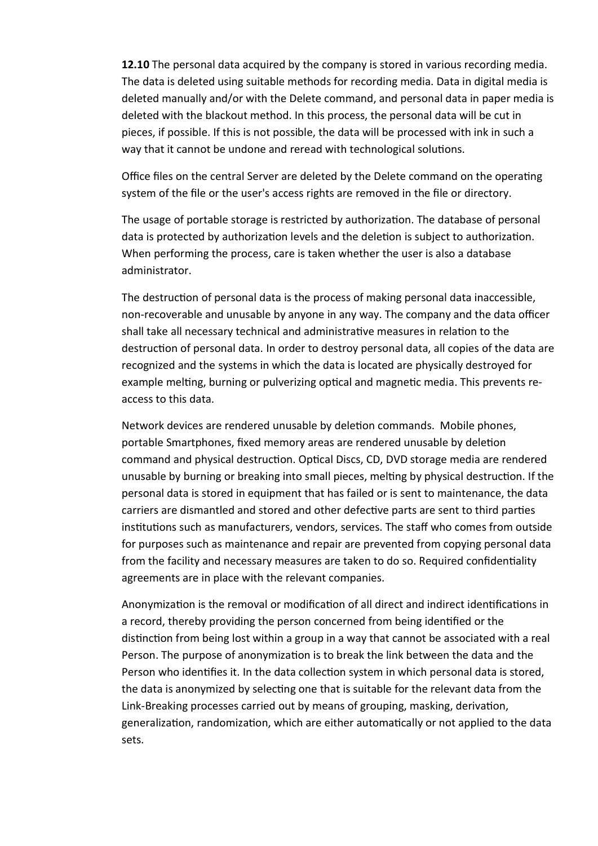12.10 The personal data acquired by the company is stored in various recording media. The data is deleted using suitable methods for recording media. Data in digital media is deleted manually and/or with the Delete command, and personal data in paper media is deleted with the blackout method. In this process, the personal data will be cut in pieces, if possible. If this is not possible, the data will be processed with ink in such a way that it cannot be undone and reread with technological solutions.

Office files on the central Server are deleted by the Delete command on the operating system of the file or the user's access rights are removed in the file or directory.

The usage of portable storage is restricted by authorization. The database of personal data is protected by authorization levels and the deletion is subject to authorization. When performing the process, care is taken whether the user is also a database administrator.

The destruction of personal data is the process of making personal data inaccessible, non-recoverable and unusable by anyone in any way. The company and the data officer shall take all necessary technical and administrative measures in relation to the destruction of personal data. In order to destroy personal data, all copies of the data are recognized and the systems in which the data is located are physically destroyed for example melting, burning or pulverizing optical and magnetic media. This prevents reaccess to this data.

Network devices are rendered unusable by deletion commands. Mobile phones, portable Smartphones, fixed memory areas are rendered unusable by deletion command and physical destruction. Optical Discs, CD, DVD storage media are rendered unusable by burning or breaking into small pieces, melting by physical destruction. If the personal data is stored in equipment that has failed or is sent to maintenance, the data carriers are dismantled and stored and other defective parts are sent to third parties institutions such as manufacturers, vendors, services. The staff who comes from outside for purposes such as maintenance and repair are prevented from copying personal data from the facility and necessary measures are taken to do so. Required confidentiality agreements are in place with the relevant companies.

Anonymization is the removal or modification of all direct and indirect identifications in a record, thereby providing the person concerned from being identified or the distinction from being lost within a group in a way that cannot be associated with a real Person. The purpose of anonymization is to break the link between the data and the Person who identifies it. In the data collection system in which personal data is stored, the data is anonymized by selecting one that is suitable for the relevant data from the Link-Breaking processes carried out by means of grouping, masking, derivation, generalization, randomization, which are either automatically or not applied to the data sets.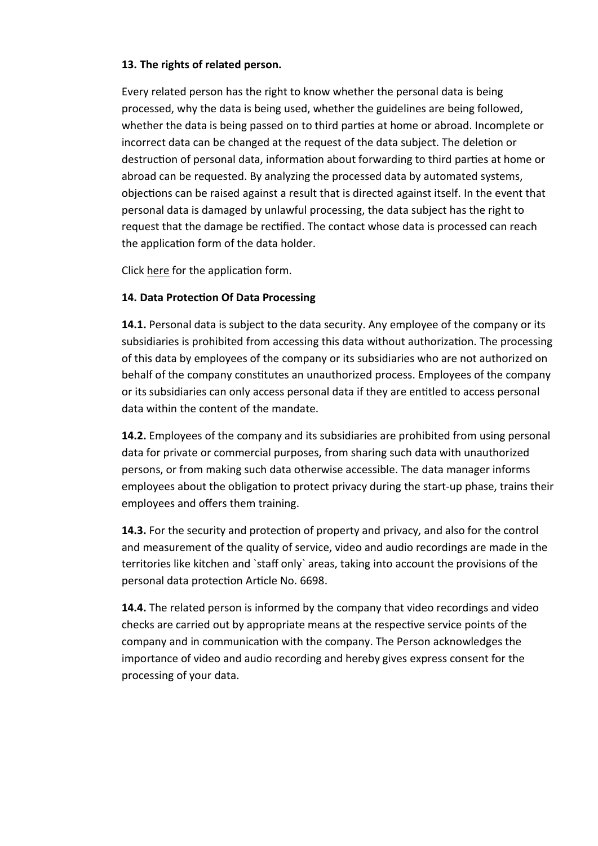#### 13. The rights of related person.

Every related person has the right to know whether the personal data is being processed, why the data is being used, whether the guidelines are being followed, whether the data is being passed on to third parties at home or abroad. Incomplete or incorrect data can be changed at the request of the data subject. The deletion or destruction of personal data, information about forwarding to third parties at home or abroad can be requested. By analyzing the processed data by automated systems, objections can be raised against a result that is directed against itself. In the event that personal data is damaged by unlawful processing, the data subject has the right to request that the damage be rectified. The contact whose data is processed can reach the application form of the data holder.

Click here for the application form.

### 14. Data Protection Of Data Processing

14.1. Personal data is subject to the data security. Any employee of the company or its subsidiaries is prohibited from accessing this data without authorization. The processing of this data by employees of the company or its subsidiaries who are not authorized on behalf of the company constitutes an unauthorized process. Employees of the company or its subsidiaries can only access personal data if they are entitled to access personal data within the content of the mandate.

14.2. Employees of the company and its subsidiaries are prohibited from using personal data for private or commercial purposes, from sharing such data with unauthorized persons, or from making such data otherwise accessible. The data manager informs employees about the obligation to protect privacy during the start-up phase, trains their employees and offers them training.

14.3. For the security and protection of property and privacy, and also for the control and measurement of the quality of service, video and audio recordings are made in the territories like kitchen and `staff only` areas, taking into account the provisions of the personal data protection Article No. 6698.

14.4. The related person is informed by the company that video recordings and video checks are carried out by appropriate means at the respective service points of the company and in communication with the company. The Person acknowledges the importance of video and audio recording and hereby gives express consent for the processing of your data.